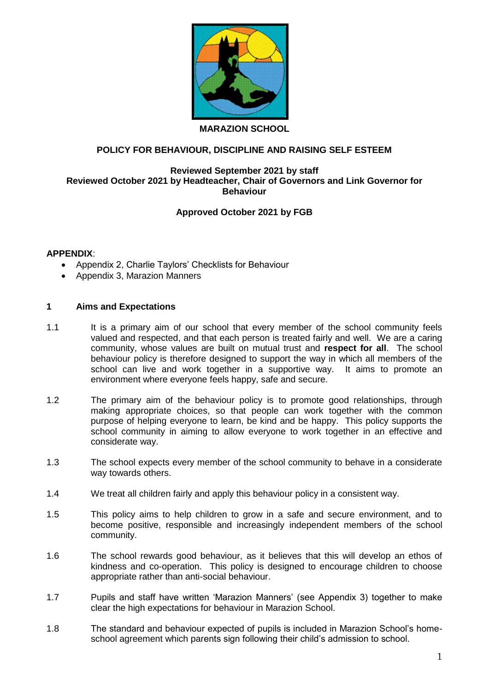

#### **MARAZION SCHOOL**

### **POLICY FOR BEHAVIOUR, DISCIPLINE AND RAISING SELF ESTEEM**

#### **Reviewed September 2021 by staff Reviewed October 2021 by Headteacher, Chair of Governors and Link Governor for Behaviour**

### **Approved October 2021 by FGB**

#### **APPENDIX**:

- Appendix 2, Charlie Taylors' Checklists for Behaviour
- Appendix 3, Marazion Manners

#### **1 Aims and Expectations**

- 1.1 It is a primary aim of our school that every member of the school community feels valued and respected, and that each person is treated fairly and well. We are a caring community, whose values are built on mutual trust and **respect for all**. The school behaviour policy is therefore designed to support the way in which all members of the school can live and work together in a supportive way. It aims to promote an environment where everyone feels happy, safe and secure.
- 1.2 The primary aim of the behaviour policy is to promote good relationships, through making appropriate choices, so that people can work together with the common purpose of helping everyone to learn, be kind and be happy. This policy supports the school community in aiming to allow everyone to work together in an effective and considerate way.
- 1.3 The school expects every member of the school community to behave in a considerate way towards others.
- 1.4 We treat all children fairly and apply this behaviour policy in a consistent way.
- 1.5 This policy aims to help children to grow in a safe and secure environment, and to become positive, responsible and increasingly independent members of the school community.
- 1.6 The school rewards good behaviour, as it believes that this will develop an ethos of kindness and co-operation. This policy is designed to encourage children to choose appropriate rather than anti-social behaviour.
- 1.7 Pupils and staff have written 'Marazion Manners' (see Appendix 3) together to make clear the high expectations for behaviour in Marazion School.
- 1.8 The standard and behaviour expected of pupils is included in Marazion School's homeschool agreement which parents sign following their child's admission to school.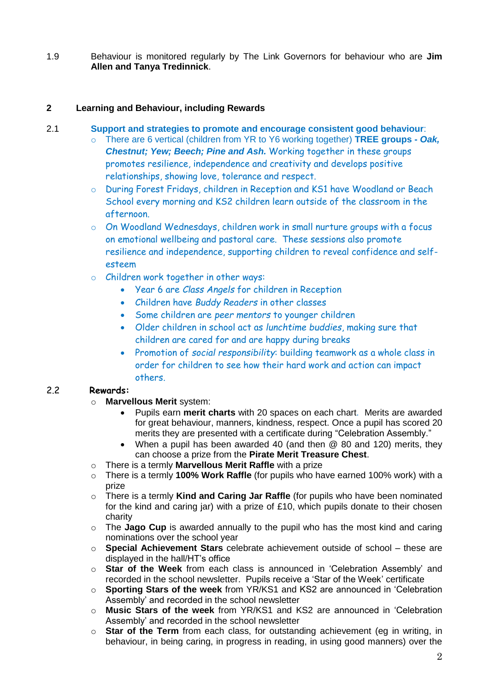1.9 Behaviour is monitored regularly by The Link Governors for behaviour who are **Jim Allen and Tanya Tredinnick**.

### **2 Learning and Behaviour, including Rewards**

#### 2.1 **Support and strategies to promote and encourage consistent good behaviour**:

- o There are 6 vertical (children from YR to Y6 working together) **TREE groups -** *Oak, Chestnut; Yew; Beech; Pine and Ash.* Working together in these groups promotes resilience, independence and creativity and develops positive relationships, showing love, tolerance and respect.
- o During Forest Fridays, children in Reception and KS1 have Woodland or Beach School every morning and KS2 children learn outside of the classroom in the afternoon.
- o On Woodland Wednesdays, children work in small nurture groups with a focus on emotional wellbeing and pastoral care. These sessions also promote resilience and independence, supporting children to reveal confidence and selfesteem
- o Children work together in other ways:
	- Year 6 are *Class Angels* for children in Reception
	- Children have *Buddy Readers* in other classes
	- Some children are *peer mentors* to younger children
	- Older children in school act as *lunchtime buddies*, making sure that children are cared for and are happy during breaks
	- Promotion of *social responsibility*: building teamwork as a whole class in order for children to see how their hard work and action can impact others.

## 2.2 **Rewards:**

- o **Marvellous Merit** system:
	- Pupils earn **merit charts** with 20 spaces on each chart. Merits are awarded for great behaviour, manners, kindness, respect. Once a pupil has scored 20 merits they are presented with a certificate during "Celebration Assembly."
	- When a pupil has been awarded 40 (and then @ 80 and 120) merits, they can choose a prize from the **Pirate Merit Treasure Chest**.
- o There is a termly **Marvellous Merit Raffle** with a prize
- o There is a termly **100% Work Raffle** (for pupils who have earned 100% work) with a prize
- o There is a termly **Kind and Caring Jar Raffle** (for pupils who have been nominated for the kind and caring jar) with a prize of £10, which pupils donate to their chosen charity
- o The **Jago Cup** is awarded annually to the pupil who has the most kind and caring nominations over the school year
- o **Special Achievement Stars** celebrate achievement outside of school these are displayed in the hall/HT's office
- o **Star of the Week** from each class is announced in 'Celebration Assembly' and recorded in the school newsletter. Pupils receive a 'Star of the Week' certificate
- o **Sporting Stars of the week** from YR/KS1 and KS2 are announced in 'Celebration Assembly' and recorded in the school newsletter
- o **Music Stars of the week** from YR/KS1 and KS2 are announced in 'Celebration Assembly' and recorded in the school newsletter
- o **Star of the Term** from each class, for outstanding achievement (eg in writing, in behaviour, in being caring, in progress in reading, in using good manners) over the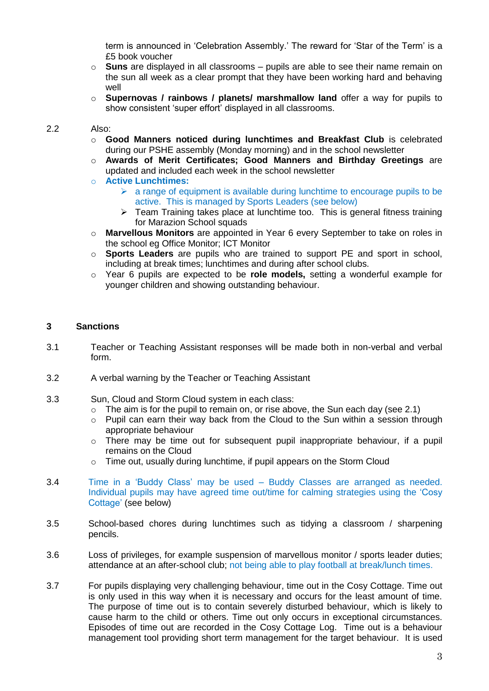term is announced in 'Celebration Assembly.' The reward for 'Star of the Term' is a £5 book voucher

- o **Suns** are displayed in all classrooms pupils are able to see their name remain on the sun all week as a clear prompt that they have been working hard and behaving well
- o **Supernovas / rainbows / planets/ marshmallow land** offer a way for pupils to show consistent 'super effort' displayed in all classrooms.

#### 2.2 Also:

- o **Good Manners noticed during lunchtimes and Breakfast Club** is celebrated during our PSHE assembly (Monday morning) and in the school newsletter
- o **Awards of Merit Certificates; Good Manners and Birthday Greetings** are updated and included each week in the school newsletter
- o **Active Lunchtimes:**
	- $\triangleright$  a range of equipment is available during lunchtime to encourage pupils to be active. This is managed by Sports Leaders (see below)
	- $\triangleright$  Team Training takes place at lunchtime too. This is general fitness training for Marazion School squads
- o **Marvellous Monitors** are appointed in Year 6 every September to take on roles in the school eg Office Monitor; ICT Monitor
- o **Sports Leaders** are pupils who are trained to support PE and sport in school, including at break times; lunchtimes and during after school clubs.
- o Year 6 pupils are expected to be **role models,** setting a wonderful example for younger children and showing outstanding behaviour.

#### **3 Sanctions**

- 3.1 Teacher or Teaching Assistant responses will be made both in non-verbal and verbal form.
- 3.2 A verbal warning by the Teacher or Teaching Assistant
- 3.3 Sun, Cloud and Storm Cloud system in each class:
	- $\circ$  The aim is for the pupil to remain on, or rise above, the Sun each day (see 2.1)
	- $\circ$  Pupil can earn their way back from the Cloud to the Sun within a session through appropriate behaviour
	- o There may be time out for subsequent pupil inappropriate behaviour, if a pupil remains on the Cloud
	- o Time out, usually during lunchtime, if pupil appears on the Storm Cloud
- 3.4 Time in a 'Buddy Class' may be used Buddy Classes are arranged as needed. Individual pupils may have agreed time out/time for calming strategies using the 'Cosy Cottage' (see below)
- 3.5 School-based chores during lunchtimes such as tidying a classroom / sharpening pencils.
- 3.6 Loss of privileges, for example suspension of marvellous monitor / sports leader duties; attendance at an after-school club; not being able to play football at break/lunch times.
- 3.7 For pupils displaying very challenging behaviour, time out in the Cosy Cottage. Time out is only used in this way when it is necessary and occurs for the least amount of time. The purpose of time out is to contain severely disturbed behaviour, which is likely to cause harm to the child or others. Time out only occurs in exceptional circumstances. Episodes of time out are recorded in the Cosy Cottage Log. Time out is a behaviour management tool providing short term management for the target behaviour. It is used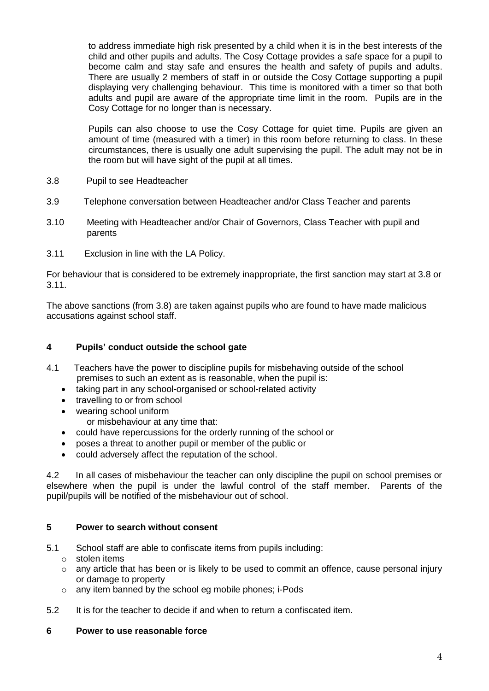to address immediate high risk presented by a child when it is in the best interests of the child and other pupils and adults. The Cosy Cottage provides a safe space for a pupil to become calm and stay safe and ensures the health and safety of pupils and adults. There are usually 2 members of staff in or outside the Cosy Cottage supporting a pupil displaying very challenging behaviour. This time is monitored with a timer so that both adults and pupil are aware of the appropriate time limit in the room. Pupils are in the Cosy Cottage for no longer than is necessary.

Pupils can also choose to use the Cosy Cottage for quiet time. Pupils are given an amount of time (measured with a timer) in this room before returning to class. In these circumstances, there is usually one adult supervising the pupil. The adult may not be in the room but will have sight of the pupil at all times.

- 3.8 Pupil to see Headteacher
- 3.9 Telephone conversation between Headteacher and/or Class Teacher and parents
- 3.10 Meeting with Headteacher and/or Chair of Governors, Class Teacher with pupil and parents
- 3.11 Exclusion in line with the LA Policy.

For behaviour that is considered to be extremely inappropriate, the first sanction may start at 3.8 or 3.11.

The above sanctions (from 3.8) are taken against pupils who are found to have made malicious accusations against school staff.

### **4 Pupils' conduct outside the school gate**

- 4.1 Teachers have the power to discipline pupils for misbehaving outside of the school premises to such an extent as is reasonable, when the pupil is:
	- taking part in any school-organised or school-related activity
	- travelling to or from school
	- wearing school uniform
		- or misbehaviour at any time that:
	- could have repercussions for the orderly running of the school or
	- poses a threat to another pupil or member of the public or
	- could adversely affect the reputation of the school.

4.2 In all cases of misbehaviour the teacher can only discipline the pupil on school premises or elsewhere when the pupil is under the lawful control of the staff member. Parents of the pupil/pupils will be notified of the misbehaviour out of school.

#### **5 Power to search without consent**

- 5.1 School staff are able to confiscate items from pupils including:
	- o stolen items
	- $\circ$  any article that has been or is likely to be used to commit an offence, cause personal injury or damage to property
	- o any item banned by the school eg mobile phones; i-Pods
- 5.2 It is for the teacher to decide if and when to return a confiscated item.

#### **6 Power to use reasonable force**